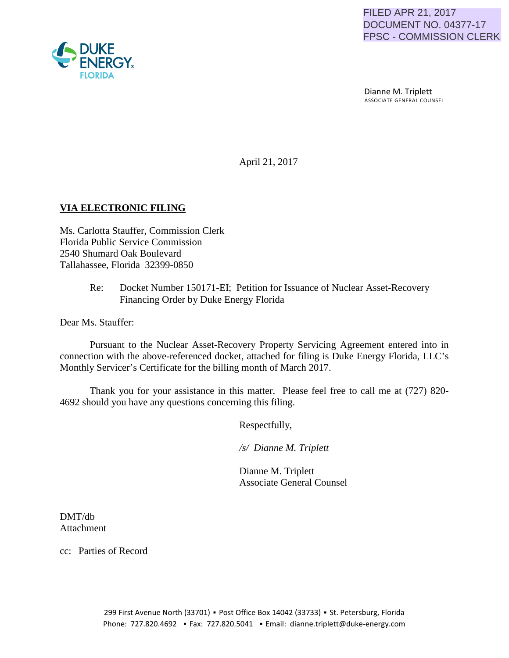Dianne M. Triplett ASSOCIATE GENERAL COUNSEL

April 21, 2017

# **VIA ELECTRONIC FILING**

Ms. Carlotta Stauffer, Commission Clerk Florida Public Service Commission 2540 Shumard Oak Boulevard Tallahassee, Florida 32399-0850

> Re: Docket Number 150171-EI; Petition for Issuance of Nuclear Asset-Recovery Financing Order by Duke Energy Florida

Dear Ms. Stauffer:

Pursuant to the Nuclear Asset-Recovery Property Servicing Agreement entered into in connection with the above-referenced docket, attached for filing is Duke Energy Florida, LLC's Monthly Servicer's Certificate for the billing month of March 2017.

Thank you for your assistance in this matter. Please feel free to call me at (727) 820- 4692 should you have any questions concerning this filing.

Respectfully,

 */s/ Dianne M. Triplett*

 Dianne M. Triplett Associate General Counsel

DMT/db Attachment

cc: Parties of Record

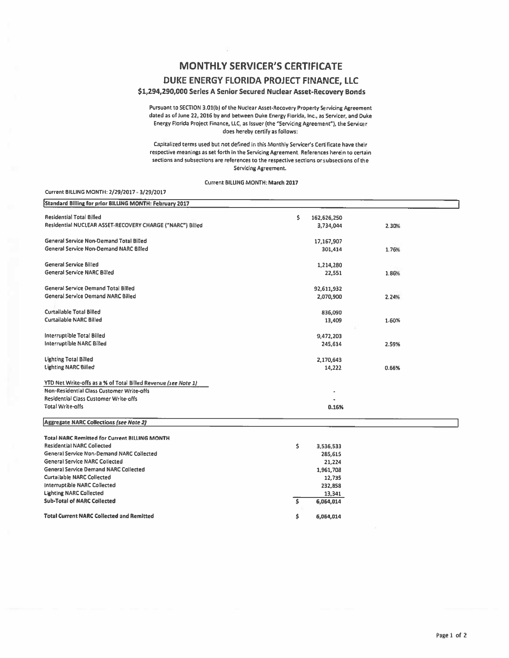## **MONTHLY SERVICER'S CERTIFICATE**

### DUKE ENERGY FLORIDA PROJECT FINANCE, LLC

### \$1,294,290,000 Series A Senior Secured Nuclear Asset-Recovery Bonds

Pursuant to SECTION 3.01(b) of the Nuclear Asset-Recovery Property Servicing Agreement dated as of June 22, 2016 by and between Duke Energy Florida, Inc., as Servicer, and Duke Energy Florida Project Finance, LLC, as Issuer (the "Servicing Agreement"), the Servicer does hereby certify as follows:

Capitalized terms used but not defined in this Monthly Servicer's Certificate have their respective meanings as set forth in the Servicing Agreement. References herein to certain sections and subsections are references to the respective sections or subsections of the **Servicing Agreement.** 

Current BILLING MONTH: March 2017

#### Current BILLING MONTH: 2/29/2017 - 3/29/2017

| Standard Billing for prior BILLING MONTH: February 2017        |                   |       |  |
|----------------------------------------------------------------|-------------------|-------|--|
| <b>Residential Total Billed</b>                                | \$<br>162,626,250 |       |  |
| Residential NUCLEAR ASSET-RECOVERY CHARGE ("NARC") Billed      | 3,734,044         | 2.30% |  |
| <b>General Service Non-Demand Total Billed</b>                 | 17,167,907        |       |  |
| General Service Non-Demand NARC Billed                         | 301,414           | 1.76% |  |
| <b>General Service Billed</b>                                  | 1,214,280         |       |  |
| <b>General Service NARC Billed</b>                             | 22,551            | 1.86% |  |
| <b>General Service Demand Total Billed</b>                     | 92,611,932        |       |  |
| <b>General Service Demand NARC Billed</b>                      | 2,070,900         | 2.24% |  |
| <b>Curtailable Total Billed</b>                                | 836,090           |       |  |
| <b>Curtailable NARC Billed</b>                                 | 13,409            | 1.60% |  |
| <b>Interruptible Total Billed</b>                              | 9,472,203         |       |  |
| <b>Interruptible NARC Billed</b>                               | 245,614           | 2.59% |  |
| <b>Lighting Total Billed</b>                                   | 2,170,643         |       |  |
| <b>Lighting NARC Billed</b>                                    | 14,222            | 0.66% |  |
| YTD Net Write-offs as a % of Total Billed Revenue (see Note 1) |                   |       |  |
| Non-Residential Class Customer Write-offs                      |                   |       |  |
| <b>Residential Class Customer Write-offs</b>                   |                   |       |  |
| <b>Total Write-offs</b>                                        | 0.16%             |       |  |
| <b>Aggregate NARC Collections (see Note 2)</b>                 |                   |       |  |
| <b>Total NARC Remitted for Current BILLING MONTH</b>           |                   |       |  |
| <b>Residential NARC Collected</b>                              | \$<br>3,536,533   |       |  |
| General Service Non-Demand NARC Collected                      | 285,615           |       |  |
| <b>General Service NARC Collected</b>                          | 21,224            |       |  |
| <b>General Service Demand NARC Collected</b>                   | 1,961,708         |       |  |
| <b>Curtailable NARC Collected</b>                              | 12,735            |       |  |
| <b>Interruptible NARC Collected</b>                            | 232,858           |       |  |
| <b>Lighting NARC Collected</b>                                 | 13,341            |       |  |
| <b>Sub-Total of NARC Collected</b>                             | \$<br>6,064,014   |       |  |
| <b>Total Current NARC Collected and Remitted</b>               | Ś.<br>6.064.014   |       |  |

6,064,014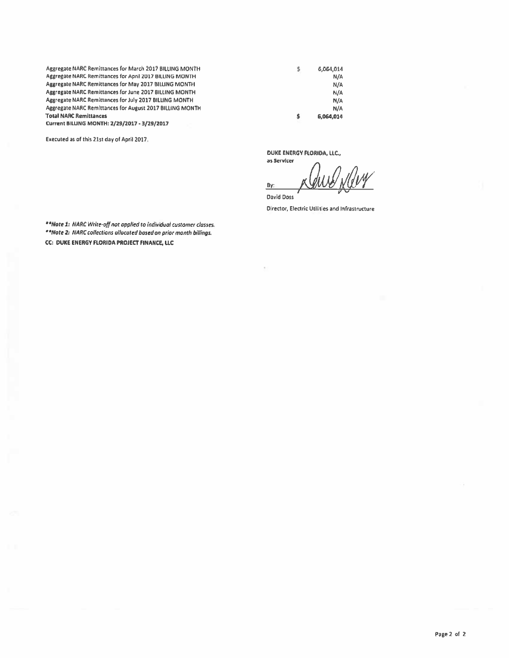Aggregate NARC Remittances for March 2017 BILliNG MONTH Aggregate NARC Remittances for April2017 BILLING MONTH Aggregate NARC Remittances for May 2017 BILUNG MONTH Aggregate NARC Remittances for June 2017 BILLING MONTH Asgresate NARC Remittances for July 2017 BILUNG MONTH Aggresate NARC Remittances for August 2017 BILLING MONTH **Total NARC Remittances** Current BILUNG MONTH: 2/29/2017 • 3/29/2017

Executed as of this 21st day of April2017.

6,064,014 \$ N/A N/A N/A N/A N/A \$ 6,064,014

DUKE ENERGY flORIDA, LLC.,

as Servicer Burg Way

David Doss Director, Electric Utilities and Infrastructure

\*\*Note 1: NARC Write-off not applied to individual customer classes. • "Note 2: NARC collections allocated based on prior month billings. CC: DUKE ENERGY FLORIDA PROJECT FINANCE, LLC